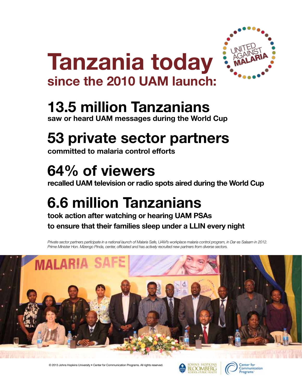

# **Tanzania today since the 2010 UAM launch:**

### **13.5 million Tanzanians**

**saw or heard UAM messages during the World Cup**

# **53 private sector partners**

**committed to malaria control efforts**

## **64% of viewers**

**recalled UAM television or radio spots aired during the World Cup**

## **6.6 million Tanzanians**

**took action after watching or hearing UAM PSAs to ensure that their families sleep under a LLIN every night** 

*Private sector partners participate in a national launch of Malaria Safe, UAM's workplace malaria control program, in Dar es Salaam in 2012. Prime Minister Hon. Mizengo Pinda, center, officiated and has actively recruited new partners from diverse sectors.* 



© 2013 Johns Hopkins University • Center for Communication Programs. All rights reserved.



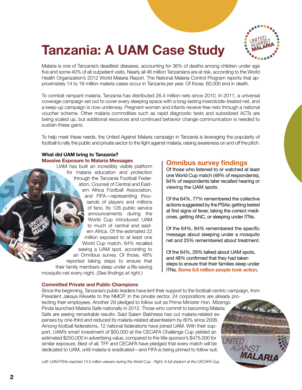

### **Tanzania: A UAM Case Study**

Malaria is one of Tanzania's deadliest diseases, accounting for 36% of deaths among children under age five and some 40% of all outpatient visits. Nearly all 46 million Tanzanians are at risk, according to the World Health Organization's 2012 World Malaria Report. The National Malaria Control Program reports that approximately 14 to 18 million malaria cases occur in Tanzania per year. Of those, 60,000 end in death.

To combat rampant malaria, Tanzania has distributed 26.4 million nets since 2010. In 2011, a universal coverage campaign set out to cover every sleeping space with a long-lasting insecticide-treated net, and a keep-up campaign is now underway. Pregnant women and infants receive free nets through a national voucher scheme. Other malaria commdities such as rapid diagnostic tests and subsidized ACTs are being scaled up, but additional resources and continued behavior change communication is needed to sustain these gains.

To help meet these needs, the United Against Malaria campaign in Tanzania is leveraging the popularity of football to rally the public and private sector to the fight against malaria, raising awareness on and off the pitch.

#### **What did UAM bring to Tanzania? Massive Exposure to Malaria Messages**

UAM has built an incredibly visible platform for malaria education and protection through the Tanzania Football Federation, Counsel of Central and Eastern Africa Football Association, and FIFA—representing thousands of players and millions of fans. Its 128 public service announcements during the World Cup introduced UAM to much of central and eastern Africa. Of the estimated 22 million exposed to at least one World Cup match, 64% recalled seeing a UAM spot, according to an Omnibus survey. Of those, 48% reported taking steps to ensure that their family members sleep under a life-saving mosquito net every night. *(See findings at right*.)

#### **Committed Private and Public Champions**

#### **Omnibus survey findings**

Of those who listened to or watched at least one World Cup match (49% of respondents), 64% of respondents later recalled hearing or viewing the UAM spots.

Of the 64%, 77% remembered the collective actions suggested by the PSAs: getting tested at first signs of fever, taking the correct medicines, getting ANC, or sleeping under ITNs.

Of the 64%, 84% remembered the specific message about sleeping under a mosquito net and 25% remembered about treatment.

Of the 64%, 29% talked about UAM spots, and 48% confirmed that they had taken steps to ensure that their families sleep under ITNs. **Some 6.6 million people took action.**

*MALAR* 

Since the beginning, Tanzania's public leaders have lent their support to the football-centric campaign, from President Jakaya Kikwete to the NMCP. In the private sector, 24 corporations are already protecting their employees. Another 29 pledged to follow suit as Prime Minister Hon. Mizengo Pinda launched Malaria Safe nationally in 2012. Those who commit to becoming Malaria Safe are seeing remarkable results: Said Salam Bakhresa has cut malaria-related expenses by one-third and reduced its malaria-related absenteeism by 80% since 2008. Among football federations, 12 national federations have joined UAM. With their support, UAM's smart investment of \$50,000 at the CECAFA Challenge Cup yielded an estimated \$250,000 in advertising value, compared to the title sponsor's \$475,000 for UNITED similar exposure. Best of all, TFF and CECAFA have pledged that every match will be AGAINS<sub>7</sub> dedicated to UAM, until malaria is eradicated—and FIFA is being primed to follow suit.

Left: UAM PSAs reached 13.5 million viewers during the World Cup . Right: A full stadium at the CECAFA Cup.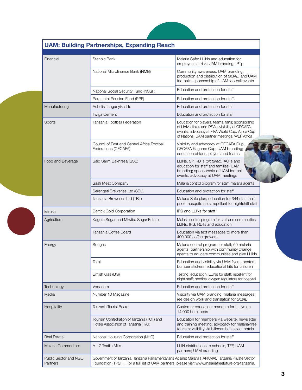| Financial                         | Stanbic Bank                                                                                                                                                                                                | Malaria Safe: LLINs and education for<br>employees at risk; UAM branding; IPTp                                                                                                                     |
|-----------------------------------|-------------------------------------------------------------------------------------------------------------------------------------------------------------------------------------------------------------|----------------------------------------------------------------------------------------------------------------------------------------------------------------------------------------------------|
|                                   | National Microfinance Bank (NMB)                                                                                                                                                                            | Community awareness; UAM branding;<br>production and distribution of GOAL! and UAM<br>footballs; sponsorship of UAM football events                                                                |
|                                   | National Social Security Fund (NSSF)                                                                                                                                                                        | Education and protection for staff                                                                                                                                                                 |
|                                   | Parastatal Pension Fund (PPF)                                                                                                                                                                               | Education and protection for staff                                                                                                                                                                 |
| Manufacturing                     | Achelis Tanganyika Ltd                                                                                                                                                                                      | Education and protection for staff                                                                                                                                                                 |
|                                   | <b>Twiga Cement</b>                                                                                                                                                                                         | Education and protection for staff                                                                                                                                                                 |
| Sports                            | Tanzania Football Federation                                                                                                                                                                                | Education for players, teams, fans; sponsorship<br>of UAM clinics and PSAs; visibility at CECAFA<br>events; advocacy at FIFA World Cup, Africa Cup<br>of Nations, UAM partner meetings, WEF Africa |
|                                   | Council of East and Central Africa Football<br>Federations (CECAFA)                                                                                                                                         | Visibility and advocacy at CECAFA Cup,<br>CECAFA Kagame Cup; UAM branding;<br>education of fans, players and teams                                                                                 |
| Food and Beverage                 | Said Salim Bakhresa (SSB)                                                                                                                                                                                   | LLINs, SP, RDTs (pictured), ACTs and<br>education for staff and families; UAM<br>branding; sponsorship of UAM football<br>events; advocacy at UAM meetings                                         |
|                                   | Saafi Meat Company                                                                                                                                                                                          | Malaria control program for staff; malaria agents                                                                                                                                                  |
|                                   | Serengeti Breweries Ltd (SBL)                                                                                                                                                                               | Education and protection for staff                                                                                                                                                                 |
|                                   | Tanzania Breweries Ltd (TBL)                                                                                                                                                                                | Malaria Safe plan; education for 344 staff; half-<br>price mosquito nets; repellent for nightshift staff                                                                                           |
| Mining                            | <b>Barrick Gold Corporation</b>                                                                                                                                                                             | IRS and LLINs for staff                                                                                                                                                                            |
| Agriculture                       | Kagera Sugar and Mtwiba Sugar Estates                                                                                                                                                                       | Malaria control program for staff and communities;<br>LLINs, IRS, RDTs and education                                                                                                               |
|                                   | Tanzania Coffee Board                                                                                                                                                                                       | Education via text messages to more than<br>400,000 coffee growers                                                                                                                                 |
| Energy                            | Songas                                                                                                                                                                                                      | Malaria control program for staff; 60 malaria<br>agents; partnership with community change<br>agents to educate communities and give LLINs                                                         |
|                                   | Total                                                                                                                                                                                                       | Education and visibility via UAM flyers, posters,<br>bumper stickers; educational kits for children                                                                                                |
|                                   | British Gas (BG)                                                                                                                                                                                            | Testing, education, LLINs for staff; repellent for<br>night staff; medical oxygen regulators for hospital                                                                                          |
| Technology                        | Vodacom                                                                                                                                                                                                     | Education and protection for staff                                                                                                                                                                 |
| Media                             | Number 10 Magazine                                                                                                                                                                                          | Visibility via UAM branding, malaria messages;<br>ree design work and translation for GOAL                                                                                                         |
| Hospitality                       | Tanzania Tourist Board                                                                                                                                                                                      | Customer education; mandate for LLINs on<br>14,000 hotel beds                                                                                                                                      |
|                                   | Tourism Confedration of Tanzania (TCT) and<br>Hotels Association of Tanzania (HAT)                                                                                                                          | Education for members via website, newsletter<br>and training meeting; advocacy for malaria-free<br>tourism; visibility via billboards in select hotels                                            |
| <b>Real Estate</b>                | National Housing Corporation (NHC)                                                                                                                                                                          | Education and protection for staff                                                                                                                                                                 |
| <b>Malaria Commodities</b>        | A - Z Textile Mills                                                                                                                                                                                         | LLIN distributions to schools, TFF, UAM<br>partners; UAM branding                                                                                                                                  |
| Public Sector and NGO<br>Partners | Government of Tanzania, Tanzania Parliamentarians Against Malaria (TAPAMA), Tanzania Private Sector<br>Foundation (TPSF), For a full list of UAM partners, please visit www.malariafreefuture.org/tanzania. |                                                                                                                                                                                                    |